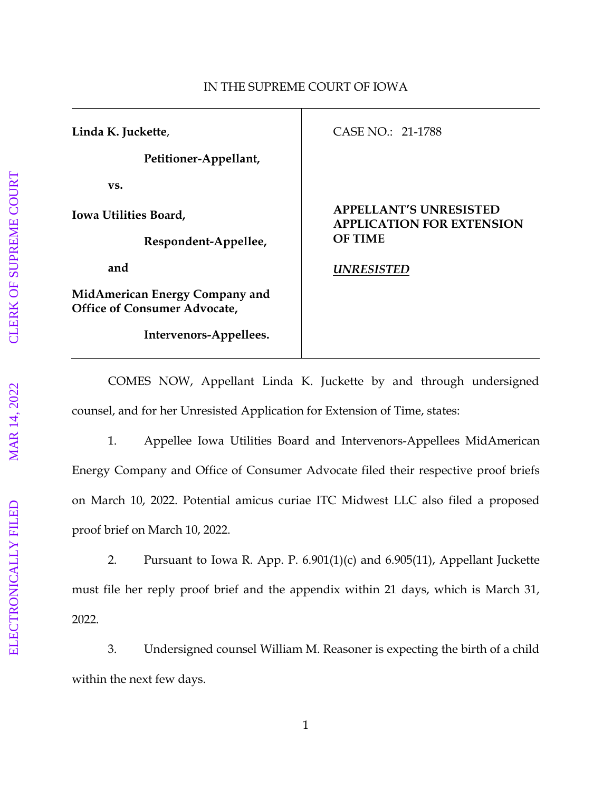## **Linda K. Juckette**, **Petitioner-Appellant, vs. Iowa Utilities Board, Respondent-Appellee, and MidAmerican Energy Company and Office of Consumer Advocate, Intervenors-Appellees.** CASE NO.: 21-1788 **APPELLANT'S UNRESISTED APPLICATION FOR EXTENSION OF TIME** *UNRESISTED*

COMES NOW, Appellant Linda K. Juckette by and through undersigned counsel, and for her Unresisted Application for Extension of Time, states:

1. Appellee Iowa Utilities Board and Intervenors-Appellees MidAmerican Energy Company and Office of Consumer Advocate filed their respective proof briefs on March 10, 2022. Potential amicus curiae ITC Midwest LLC also filed a proposed proof brief on March 10, 2022.

2. Pursuant to Iowa R. App. P. 6.901(1)(c) and 6.905(11), Appellant Juckette must file her reply proof brief and the appendix within 21 days, which is March 31, 2022.

3. Undersigned counsel William M. Reasoner is expecting the birth of a child within the next few days.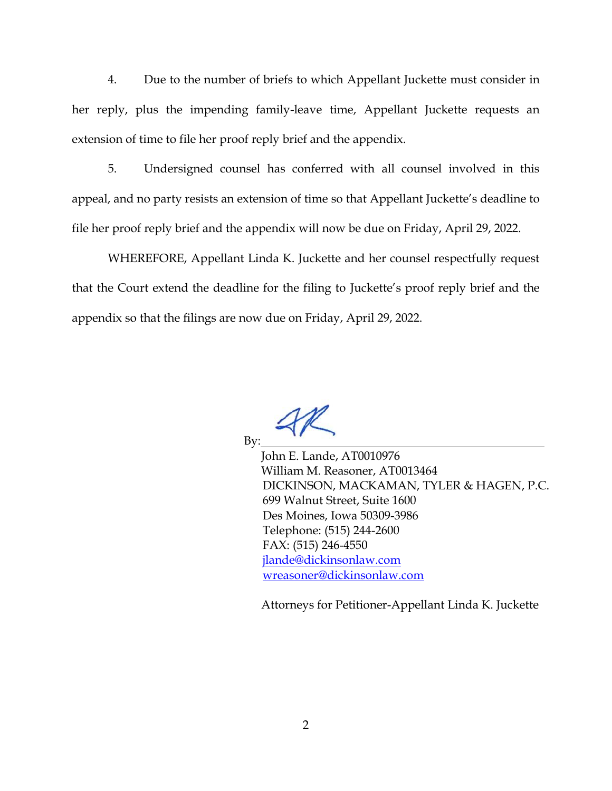4. Due to the number of briefs to which Appellant Juckette must consider in her reply, plus the impending family-leave time, Appellant Juckette requests an extension of time to file her proof reply brief and the appendix.

5. Undersigned counsel has conferred with all counsel involved in this appeal, and no party resists an extension of time so that Appellant Juckette's deadline to file her proof reply brief and the appendix will now be due on Friday, April 29, 2022.

WHEREFORE, Appellant Linda K. Juckette and her counsel respectfully request that the Court extend the deadline for the filing to Juckette's proof reply brief and the appendix so that the filings are now due on Friday, April 29, 2022.

By:

John E. Lande, AT0010976 William M. Reasoner, AT0013464 DICKINSON, MACKAMAN, TYLER & HAGEN, P.C. 699 Walnut Street, Suite 1600 Des Moines, Iowa 50309-3986 Telephone: (515) 244-2600 FAX: (515) 246-4550 [jlande@dickinsonlaw.com](mailto:jlande@dickinsonlaw.com) [wreasoner@dickinsonlaw.com](mailto:wreasoner@dickinsonlaw.com)

Attorneys for Petitioner-Appellant Linda K. Juckette